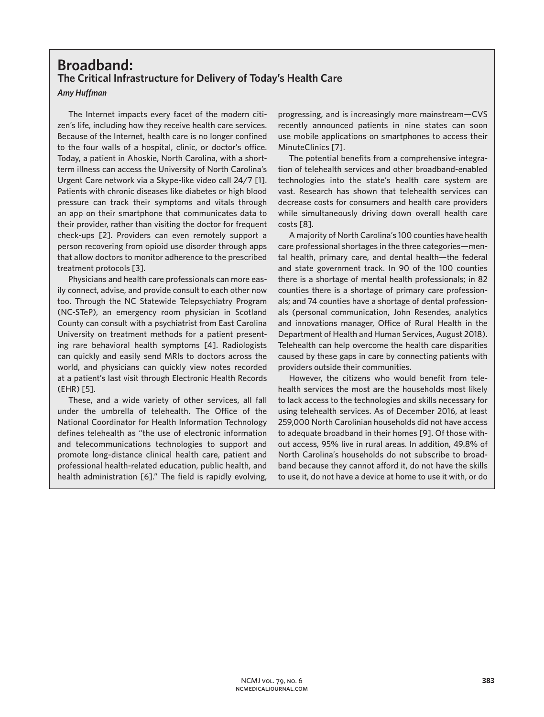## **Broadband: The Critical Infrastructure for Delivery of Today's Health Care**

## *Amy Huffman*

The Internet impacts every facet of the modern citizen's life, including how they receive health care services. Because of the Internet, health care is no longer confined to the four walls of a hospital, clinic, or doctor's office. Today, a patient in Ahoskie, North Carolina, with a shortterm illness can access the University of North Carolina's Urgent Care network via a Skype-like video call 24/7 [1]. Patients with chronic diseases like diabetes or high blood pressure can track their symptoms and vitals through an app on their smartphone that communicates data to their provider, rather than visiting the doctor for frequent check-ups [2]. Providers can even remotely support a person recovering from opioid use disorder through apps that allow doctors to monitor adherence to the prescribed treatment protocols [3].

Physicians and health care professionals can more easily connect, advise, and provide consult to each other now too. Through the NC Statewide Telepsychiatry Program (NC-STeP), an emergency room physician in Scotland County can consult with a psychiatrist from East Carolina University on treatment methods for a patient presenting rare behavioral health symptoms [4]. Radiologists can quickly and easily send MRIs to doctors across the world, and physicians can quickly view notes recorded at a patient's last visit through Electronic Health Records (EHR) [5].

These, and a wide variety of other services, all fall under the umbrella of telehealth. The Office of the National Coordinator for Health Information Technology defines telehealth as "the use of electronic information and telecommunications technologies to support and promote long-distance clinical health care, patient and professional health-related education, public health, and health administration [6]." The field is rapidly evolving,

progressing, and is increasingly more mainstream—CVS recently announced patients in nine states can soon use mobile applications on smartphones to access their MinuteClinics [7].

The potential benefits from a comprehensive integration of telehealth services and other broadband-enabled technologies into the state's health care system are vast. Research has shown that telehealth services can decrease costs for consumers and health care providers while simultaneously driving down overall health care costs [8].

A majority of North Carolina's 100 counties have health care professional shortages in the three categories—mental health, primary care, and dental health—the federal and state government track. In 90 of the 100 counties there is a shortage of mental health professionals; in 82 counties there is a shortage of primary care professionals; and 74 counties have a shortage of dental professionals (personal communication, John Resendes, analytics and innovations manager, Office of Rural Health in the Department of Health and Human Services, August 2018). Telehealth can help overcome the health care disparities caused by these gaps in care by connecting patients with providers outside their communities.

However, the citizens who would benefit from telehealth services the most are the households most likely to lack access to the technologies and skills necessary for using telehealth services. As of December 2016, at least 259,000 North Carolinian households did not have access to adequate broadband in their homes [9]. Of those without access, 95% live in rural areas. In addition, 49.8% of North Carolina's households do not subscribe to broadband because they cannot afford it, do not have the skills to use it, do not have a device at home to use it with, or do